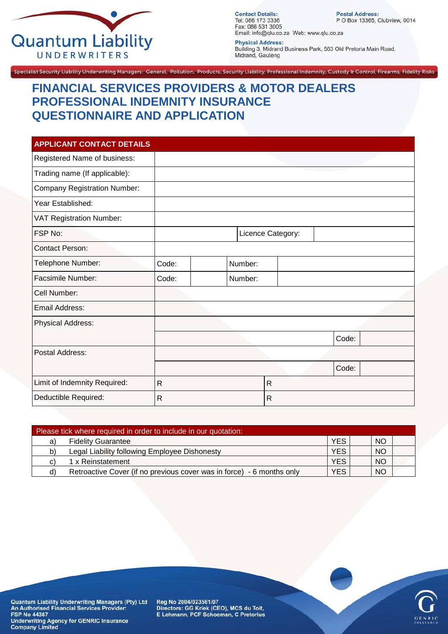

**Contact Details:** Tel: 086 173 3336 Fax: 086 531 3005 Email: info@qlu.co.za Web: www.qlu.co.za

Postal Address:<br>P O Box 13365, Clubview, 0014

**Physical Address:** Building 3, Midrand Business Park, 563 Old Pretoria Main Road, Midrand, Gauteng

Specialist Security Liability Underwriting Managers: General, Pollution, Products, Security Liability, Professional Indemnity, Custody & Control, Firearms, Fidelity Risks

## **FINANCIAL SERVICES PROVIDERS & MOTOR DEALERS PROFESSIONAL INDEMNITY INSURANCE QUESTIONNAIRE AND APPLICATION**

| <b>APPLICANT CONTACT DETAILS</b>    |              |         |                   |       |
|-------------------------------------|--------------|---------|-------------------|-------|
| Registered Name of business:        |              |         |                   |       |
| Trading name (If applicable):       |              |         |                   |       |
| <b>Company Registration Number:</b> |              |         |                   |       |
| Year Established:                   |              |         |                   |       |
| <b>VAT Registration Number:</b>     |              |         |                   |       |
| FSP No:                             |              |         | Licence Category: |       |
| <b>Contact Person:</b>              |              |         |                   |       |
| Telephone Number:                   | Code:        | Number: |                   |       |
| <b>Facsimile Number:</b>            | Code:        | Number: |                   |       |
| Cell Number:                        |              |         |                   |       |
| Email Address:                      |              |         |                   |       |
| <b>Physical Address:</b>            |              |         |                   |       |
|                                     |              |         |                   | Code: |
| <b>Postal Address:</b>              |              |         |                   |       |
|                                     |              |         |                   | Code: |
| Limit of Indemnity Required:        | $\mathsf{R}$ |         | $\mathsf{R}$      |       |
| Deductible Required:                | $\mathsf{R}$ |         | $\mathsf{R}$      |       |

| <b>NO</b><br><b>YES</b><br><b>Fidelity Guarantee</b><br>a)                                             |  |
|--------------------------------------------------------------------------------------------------------|--|
|                                                                                                        |  |
| <b>YES</b><br><b>NO</b><br>Legal Liability following Employee Dishonesty<br>b)                         |  |
| <b>YES</b><br><b>NO</b><br>1 x Reinstatement<br>C)                                                     |  |
| <b>YES</b><br><b>NO</b><br>Retroactive Cover (if no previous cover was in force) - 6 months only<br>d) |  |



Quantum Liability Underwriting Managers (Pty) Ltd<br>An Authorised Financial Services Provider:<br>FSP No 44367 **Underwriting Agency for GENRIC Insurance Company Limited** 

Reg No 2004/023561/07 Directors: GG Kriek (CEO), MCS du Toit,<br>E Lehmann, PCF Schoeman, C Pretorius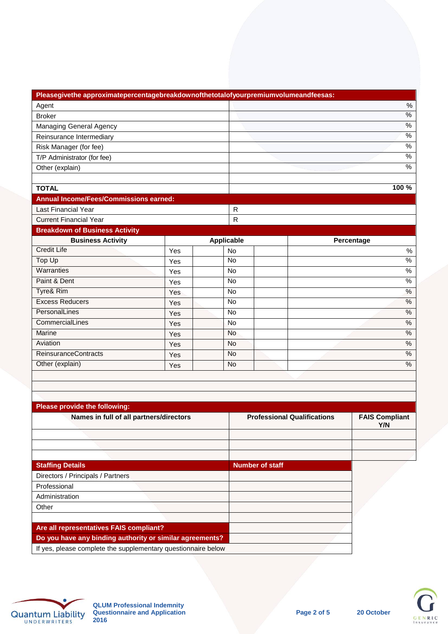| Pleasegivethe approximatepercentagebreakdownofthetotalofyourpremiumvolumeandfeesas: |     |  |                   |                        |                                    |                       |
|-------------------------------------------------------------------------------------|-----|--|-------------------|------------------------|------------------------------------|-----------------------|
| Agent                                                                               |     |  |                   |                        |                                    | $\%$                  |
| <b>Broker</b>                                                                       |     |  |                   |                        |                                    | $\%$                  |
| Managing General Agency                                                             |     |  |                   |                        |                                    | %                     |
| Reinsurance Intermediary                                                            |     |  |                   |                        |                                    | $\frac{9}{6}$         |
| Risk Manager (for fee)                                                              |     |  |                   |                        |                                    | $\%$                  |
| T/P Administrator (for fee)                                                         |     |  |                   |                        |                                    | $\%$                  |
| Other (explain)                                                                     |     |  |                   |                        |                                    | $\%$                  |
|                                                                                     |     |  |                   |                        |                                    |                       |
| <b>TOTAL</b>                                                                        |     |  |                   |                        |                                    | 100 %                 |
| <b>Annual Income/Fees/Commissions earned:</b>                                       |     |  |                   |                        |                                    |                       |
| <b>Last Financial Year</b>                                                          |     |  | $\mathsf{R}$      |                        |                                    |                       |
| <b>Current Financial Year</b>                                                       |     |  | $\mathsf{R}$      |                        |                                    |                       |
| <b>Breakdown of Business Activity</b>                                               |     |  |                   |                        |                                    |                       |
| <b>Business Activity</b>                                                            |     |  | <b>Applicable</b> |                        |                                    | Percentage            |
| <b>Credit Life</b>                                                                  | Yes |  | <b>No</b>         |                        |                                    | $\%$                  |
| <b>Top Up</b>                                                                       | Yes |  | No                |                        |                                    | $\frac{0}{6}$         |
| Warranties                                                                          | Yes |  | No                |                        |                                    | %                     |
| Paint & Dent                                                                        | Yes |  | No                |                        |                                    | %                     |
| <b>Tyre&amp; Rim</b>                                                                | Yes |  | <b>No</b>         |                        |                                    | %                     |
| <b>Excess Reducers</b>                                                              | Yes |  | <b>No</b>         |                        |                                    | $\%$                  |
| PersonalLines                                                                       | Yes |  | <b>No</b>         |                        |                                    | $\%$                  |
| CommercialLines                                                                     | Yes |  | No                |                        |                                    | %                     |
| Marine                                                                              | Yes |  | <b>No</b>         |                        |                                    | %                     |
| Aviation                                                                            | Yes |  | <b>No</b>         |                        |                                    | %                     |
| <b>ReinsuranceContracts</b>                                                         | Yes |  | <b>No</b>         |                        |                                    | $\%$                  |
| Other (explain)                                                                     | Yes |  | No                |                        |                                    | $\%$                  |
|                                                                                     |     |  |                   |                        |                                    |                       |
|                                                                                     |     |  |                   |                        |                                    |                       |
|                                                                                     |     |  |                   |                        |                                    |                       |
| Please provide the following:                                                       |     |  |                   |                        |                                    |                       |
| Names in full of all partners/directors                                             |     |  |                   |                        | <b>Professional Qualifications</b> | <b>FAIS Compliant</b> |
|                                                                                     |     |  |                   |                        |                                    | Y/N                   |
|                                                                                     |     |  |                   |                        |                                    |                       |
|                                                                                     |     |  |                   |                        |                                    |                       |
| <b>Staffing Details</b>                                                             |     |  |                   | <b>Number of staff</b> |                                    |                       |
| Directors / Principals / Partners                                                   |     |  |                   |                        |                                    |                       |
| Professional                                                                        |     |  |                   |                        |                                    |                       |
| Administration                                                                      |     |  |                   |                        |                                    |                       |
| Other                                                                               |     |  |                   |                        |                                    |                       |
|                                                                                     |     |  |                   |                        |                                    |                       |
| Are all representatives FAIS compliant?                                             |     |  |                   |                        |                                    |                       |
| Do you have any binding authority or similar agreements?                            |     |  |                   |                        |                                    |                       |
| If yes, please complete the supplementary questionnaire below                       |     |  |                   |                        |                                    |                       |
|                                                                                     |     |  |                   |                        |                                    |                       |



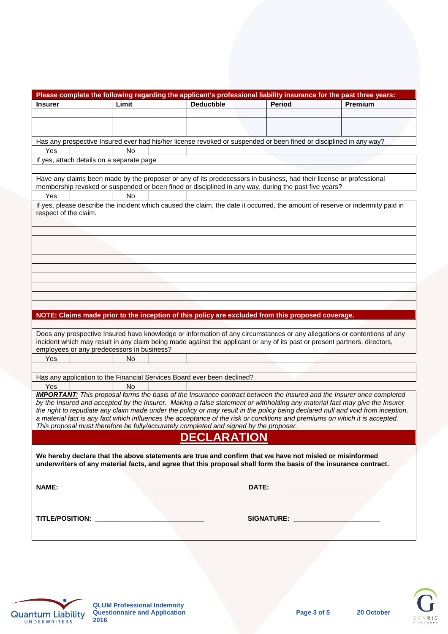|                                            |       | Please complete the following regarding the applicant's professional liability insurance for the past three years:                                                                                                    |               |                                                                                                                                 |
|--------------------------------------------|-------|-----------------------------------------------------------------------------------------------------------------------------------------------------------------------------------------------------------------------|---------------|---------------------------------------------------------------------------------------------------------------------------------|
| <b>Insurer</b>                             | Limit | <b>Deductible</b>                                                                                                                                                                                                     | <b>Period</b> | Premium                                                                                                                         |
|                                            |       |                                                                                                                                                                                                                       |               |                                                                                                                                 |
|                                            |       |                                                                                                                                                                                                                       |               |                                                                                                                                 |
|                                            |       |                                                                                                                                                                                                                       |               |                                                                                                                                 |
|                                            |       | Has any prospective Insured ever had his/her license revoked or suspended or been fined or disciplined in any way?                                                                                                    |               |                                                                                                                                 |
| Yes                                        | No    |                                                                                                                                                                                                                       |               |                                                                                                                                 |
| If yes, attach details on a separate page  |       |                                                                                                                                                                                                                       |               |                                                                                                                                 |
|                                            |       |                                                                                                                                                                                                                       |               |                                                                                                                                 |
|                                            |       | Have any claims been made by the proposer or any of its predecessors in business, had their license or professional                                                                                                   |               |                                                                                                                                 |
|                                            |       | membership revoked or suspended or been fined or disciplined in any way, during the past five years?                                                                                                                  |               |                                                                                                                                 |
| Yes                                        | No    |                                                                                                                                                                                                                       |               |                                                                                                                                 |
|                                            |       |                                                                                                                                                                                                                       |               | If yes, please describe the incident which caused the claim, the date it occurred, the amount of reserve or indemnity paid in   |
| respect of the claim.                      |       |                                                                                                                                                                                                                       |               |                                                                                                                                 |
|                                            |       |                                                                                                                                                                                                                       |               |                                                                                                                                 |
|                                            |       |                                                                                                                                                                                                                       |               |                                                                                                                                 |
|                                            |       |                                                                                                                                                                                                                       |               |                                                                                                                                 |
|                                            |       |                                                                                                                                                                                                                       |               |                                                                                                                                 |
|                                            |       |                                                                                                                                                                                                                       |               |                                                                                                                                 |
|                                            |       |                                                                                                                                                                                                                       |               |                                                                                                                                 |
|                                            |       |                                                                                                                                                                                                                       |               |                                                                                                                                 |
|                                            |       |                                                                                                                                                                                                                       |               |                                                                                                                                 |
|                                            |       |                                                                                                                                                                                                                       |               |                                                                                                                                 |
|                                            |       |                                                                                                                                                                                                                       |               |                                                                                                                                 |
|                                            |       | NOTE: Claims made prior to the inception of this policy are excluded from this proposed coverage.                                                                                                                     |               |                                                                                                                                 |
|                                            |       |                                                                                                                                                                                                                       |               |                                                                                                                                 |
|                                            |       |                                                                                                                                                                                                                       |               | Does any prospective Insured have knowledge or information of any circumstances or any allegations or contentions of any        |
|                                            |       | incident which may result in any claim being made against the applicant or any of its past or present partners, directors,                                                                                            |               |                                                                                                                                 |
| employees or any predecessors in business? |       |                                                                                                                                                                                                                       |               |                                                                                                                                 |
| Yes                                        | No    |                                                                                                                                                                                                                       |               |                                                                                                                                 |
|                                            |       |                                                                                                                                                                                                                       |               |                                                                                                                                 |
|                                            |       | Has any application to the Financial Services Board ever been declined?                                                                                                                                               |               |                                                                                                                                 |
| Yes                                        | No    |                                                                                                                                                                                                                       |               |                                                                                                                                 |
|                                            |       |                                                                                                                                                                                                                       |               | <b>IMPORTANT:</b> This proposal forms the basis of the Insurance contract between the Insured and the Insurer once completed    |
|                                            |       |                                                                                                                                                                                                                       |               | by the Insured and accepted by the Insurer. Making a false statement or withholding any material fact may give the Insurer      |
|                                            |       |                                                                                                                                                                                                                       |               | the right to repudiate any claim made under the policy or may result in the policy being declared null and void from inception, |
|                                            |       | a material fact is any fact which influences the acceptance of the risk or conditions and premiums on which it is accepted.<br>This proposal must therefore be fully/accurately completed and signed by the proposer. |               |                                                                                                                                 |
|                                            |       |                                                                                                                                                                                                                       |               |                                                                                                                                 |
|                                            |       | <b>DECLARATION</b>                                                                                                                                                                                                    |               |                                                                                                                                 |
|                                            |       |                                                                                                                                                                                                                       |               |                                                                                                                                 |
|                                            |       | We hereby declare that the above statements are true and confirm that we have not misled or misinformed                                                                                                               |               |                                                                                                                                 |
|                                            |       | underwriters of any material facts, and agree that this proposal shall form the basis of the insurance contract.                                                                                                      |               |                                                                                                                                 |
|                                            |       |                                                                                                                                                                                                                       |               |                                                                                                                                 |
|                                            |       |                                                                                                                                                                                                                       | DATE:         |                                                                                                                                 |
|                                            |       |                                                                                                                                                                                                                       |               |                                                                                                                                 |
|                                            |       |                                                                                                                                                                                                                       |               |                                                                                                                                 |
|                                            |       |                                                                                                                                                                                                                       |               |                                                                                                                                 |
|                                            |       |                                                                                                                                                                                                                       |               |                                                                                                                                 |
|                                            |       |                                                                                                                                                                                                                       |               |                                                                                                                                 |
|                                            |       |                                                                                                                                                                                                                       |               |                                                                                                                                 |



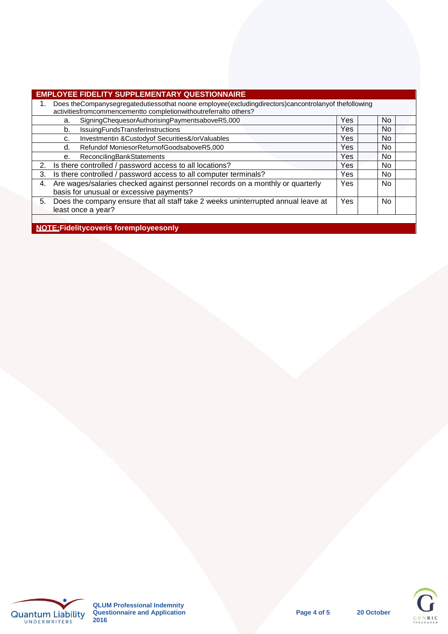| EMPLOYEE FIDELITY SUPPLEMENTARY QUESTIONNAIRE |  |
|-----------------------------------------------|--|
|                                               |  |

|    | EMI LVILE I IDEEII I OOI I EEMENTAILI GOEDIIONNAILE                                                                                                                     |            |           |
|----|-------------------------------------------------------------------------------------------------------------------------------------------------------------------------|------------|-----------|
|    | Does theCompanysegregatedutiessothat noone employee(excludingdirectors)cancontrolanyof thefollowing<br>activitiesfromcommencementto completionwithoutreferralto others? |            |           |
|    | SigningChequesorAuthorisingPaymentsaboveR5,000<br>a.                                                                                                                    | <b>Yes</b> | No.       |
|    | IssuingFundsTransferInstructions<br>b.                                                                                                                                  | <b>Yes</b> | No.       |
|    | Investmentin & Custody of Securities &/or Valuables<br>c.                                                                                                               | Yes        | No.       |
|    | Refundof MoniesorReturnofGoodsaboveR5,000<br>d.                                                                                                                         | Yes        | No        |
|    | <b>ReconcilingBankStatements</b><br>е.                                                                                                                                  | Yes        | <b>No</b> |
| 2. | Is there controlled / password access to all locations?                                                                                                                 | Yes        | No.       |
| 3. | Is there controlled / password access to all computer terminals?                                                                                                        | Yes        | <b>No</b> |
| 4. | Are wages/salaries checked against personnel records on a monthly or quarterly<br>basis for unusual or excessive payments?                                              | Yes.       | No.       |
| 5. | Does the company ensure that all staff take 2 weeks uninterrupted annual leave at<br>least once a year?                                                                 | Yes.       | <b>No</b> |
|    |                                                                                                                                                                         |            |           |
|    | NIATE: ESI Little Legal de La comunicación de La collec                                                                                                                 |            |           |

**NOTE:**Fidelitycoveris foremployeesonly





20 October